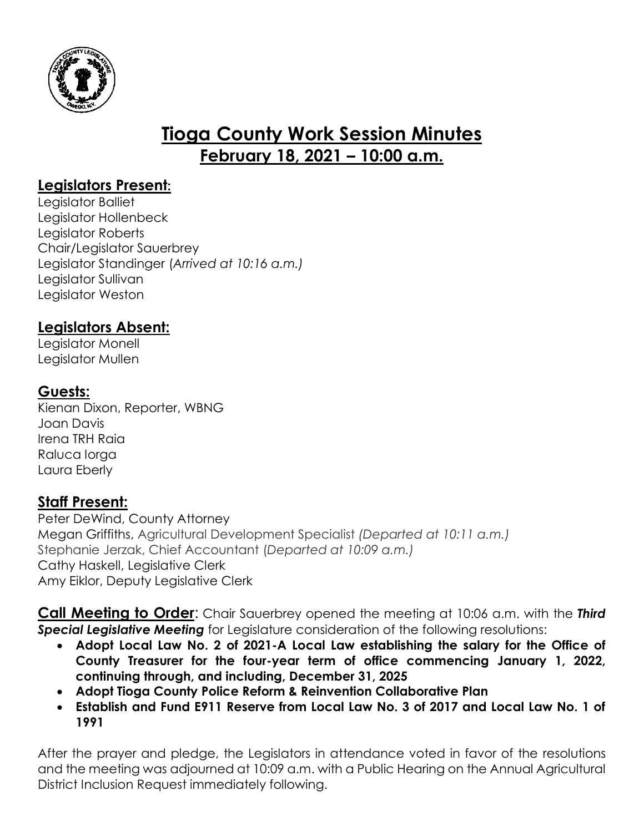

# **Tioga County Work Session Minutes February 18, 2021 – 10:00 a.m.**

## **Legislators Present:**

Legislator Balliet Legislator Hollenbeck Legislator Roberts Chair/Legislator Sauerbrey Legislator Standinger (*Arrived at 10:16 a.m.)* Legislator Sullivan Legislator Weston

## **Legislators Absent:**

Legislator Monell Legislator Mullen

### **Guests:**

Kienan Dixon, Reporter, WBNG Joan Davis Irena TRH Raia Raluca Iorga Laura Eberly

### **Staff Present:**

Peter DeWind, County Attorney Megan Griffiths, Agricultural Development Specialist *(Departed at 10:11 a.m.)* Stephanie Jerzak, Chief Accountant (*Departed at 10:09 a.m.)* Cathy Haskell, Legislative Clerk Amy Eiklor, Deputy Legislative Clerk

**Call Meeting to Order**: Chair Sauerbrey opened the meeting at 10:06 a.m. with the *Third Special Legislative Meeting* for Legislature consideration of the following resolutions:

- **Adopt Local Law No. 2 of 2021-A Local Law establishing the salary for the Office of County Treasurer for the four-year term of office commencing January 1, 2022, continuing through, and including, December 31, 2025**
- **Adopt Tioga County Police Reform & Reinvention Collaborative Plan**
- **Establish and Fund E911 Reserve from Local Law No. 3 of 2017 and Local Law No. 1 of 1991**

After the prayer and pledge, the Legislators in attendance voted in favor of the resolutions and the meeting was adjourned at 10:09 a.m. with a Public Hearing on the Annual Agricultural District Inclusion Request immediately following.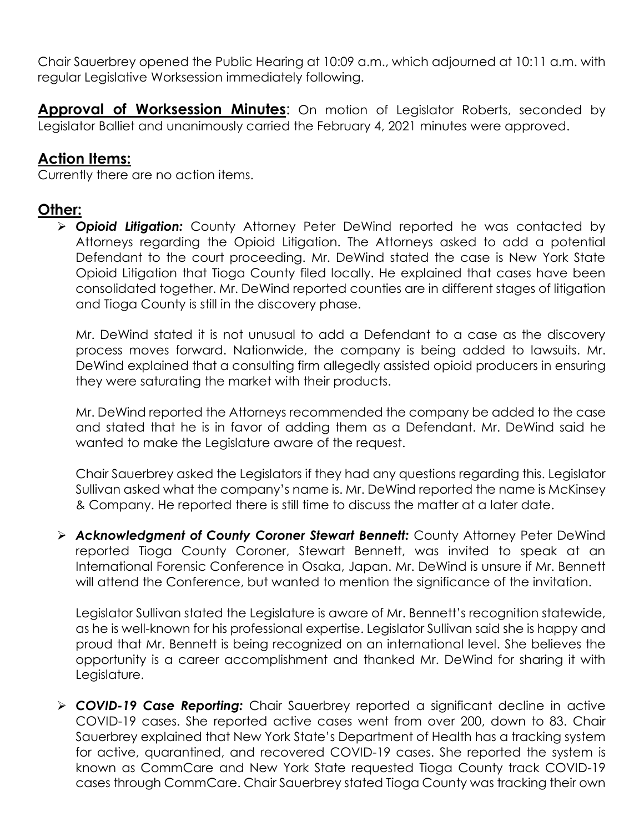Chair Sauerbrey opened the Public Hearing at 10:09 a.m., which adjourned at 10:11 a.m. with regular Legislative Worksession immediately following.

**Approval of Worksession Minutes:** On motion of Legislator Roberts, seconded by Legislator Balliet and unanimously carried the February 4, 2021 minutes were approved.

#### **Action Items:**

Currently there are no action items.

#### **Other:**

 *Opioid Litigation:* County Attorney Peter DeWind reported he was contacted by Attorneys regarding the Opioid Litigation. The Attorneys asked to add a potential Defendant to the court proceeding. Mr. DeWind stated the case is New York State Opioid Litigation that Tioga County filed locally. He explained that cases have been consolidated together. Mr. DeWind reported counties are in different stages of litigation and Tioga County is still in the discovery phase.

Mr. DeWind stated it is not unusual to add a Defendant to a case as the discovery process moves forward. Nationwide, the company is being added to lawsuits. Mr. DeWind explained that a consulting firm allegedly assisted opioid producers in ensuring they were saturating the market with their products.

Mr. DeWind reported the Attorneys recommended the company be added to the case and stated that he is in favor of adding them as a Defendant. Mr. DeWind said he wanted to make the Legislature aware of the request.

Chair Sauerbrey asked the Legislators if they had any questions regarding this. Legislator Sullivan asked what the company's name is. Mr. DeWind reported the name is McKinsey & Company. He reported there is still time to discuss the matter at a later date.

 *Acknowledgment of County Coroner Stewart Bennett:* County Attorney Peter DeWind reported Tioga County Coroner, Stewart Bennett, was invited to speak at an International Forensic Conference in Osaka, Japan. Mr. DeWind is unsure if Mr. Bennett will attend the Conference, but wanted to mention the significance of the invitation.

Legislator Sullivan stated the Legislature is aware of Mr. Bennett's recognition statewide, as he is well-known for his professional expertise. Legislator Sullivan said she is happy and proud that Mr. Bennett is being recognized on an international level. She believes the opportunity is a career accomplishment and thanked Mr. DeWind for sharing it with Legislature.

 *COVID-19 Case Reporting:* Chair Sauerbrey reported a significant decline in active COVID-19 cases. She reported active cases went from over 200, down to 83. Chair Sauerbrey explained that New York State's Department of Health has a tracking system for active, quarantined, and recovered COVID-19 cases. She reported the system is known as CommCare and New York State requested Tioga County track COVID-19 cases through CommCare. Chair Sauerbrey stated Tioga County was tracking their own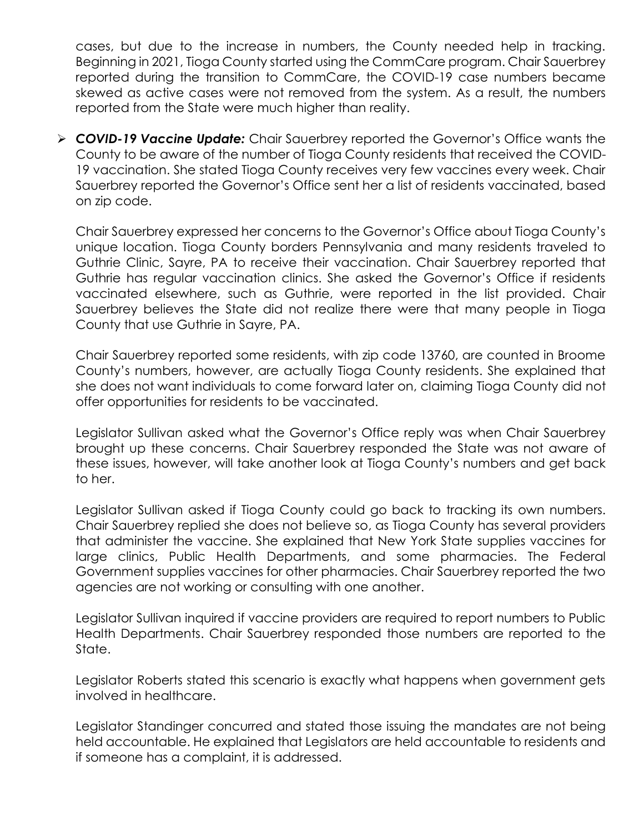cases, but due to the increase in numbers, the County needed help in tracking. Beginning in 2021, Tioga County started using the CommCare program. Chair Sauerbrey reported during the transition to CommCare, the COVID-19 case numbers became skewed as active cases were not removed from the system. As a result, the numbers reported from the State were much higher than reality.

 *COVID-19 Vaccine Update:* Chair Sauerbrey reported the Governor's Office wants the County to be aware of the number of Tioga County residents that received the COVID-19 vaccination. She stated Tioga County receives very few vaccines every week. Chair Sauerbrey reported the Governor's Office sent her a list of residents vaccinated, based on zip code.

Chair Sauerbrey expressed her concerns to the Governor's Office about Tioga County's unique location. Tioga County borders Pennsylvania and many residents traveled to Guthrie Clinic, Sayre, PA to receive their vaccination. Chair Sauerbrey reported that Guthrie has regular vaccination clinics. She asked the Governor's Office if residents vaccinated elsewhere, such as Guthrie, were reported in the list provided. Chair Sauerbrey believes the State did not realize there were that many people in Tioga County that use Guthrie in Sayre, PA.

Chair Sauerbrey reported some residents, with zip code 13760, are counted in Broome County's numbers, however, are actually Tioga County residents. She explained that she does not want individuals to come forward later on, claiming Tioga County did not offer opportunities for residents to be vaccinated.

Legislator Sullivan asked what the Governor's Office reply was when Chair Sauerbrey brought up these concerns. Chair Sauerbrey responded the State was not aware of these issues, however, will take another look at Tioga County's numbers and get back to her.

Legislator Sullivan asked if Tioga County could go back to tracking its own numbers. Chair Sauerbrey replied she does not believe so, as Tioga County has several providers that administer the vaccine. She explained that New York State supplies vaccines for large clinics, Public Health Departments, and some pharmacies. The Federal Government supplies vaccines for other pharmacies. Chair Sauerbrey reported the two agencies are not working or consulting with one another.

Legislator Sullivan inquired if vaccine providers are required to report numbers to Public Health Departments. Chair Sauerbrey responded those numbers are reported to the State.

Legislator Roberts stated this scenario is exactly what happens when government gets involved in healthcare.

Legislator Standinger concurred and stated those issuing the mandates are not being held accountable. He explained that Legislators are held accountable to residents and if someone has a complaint, it is addressed.